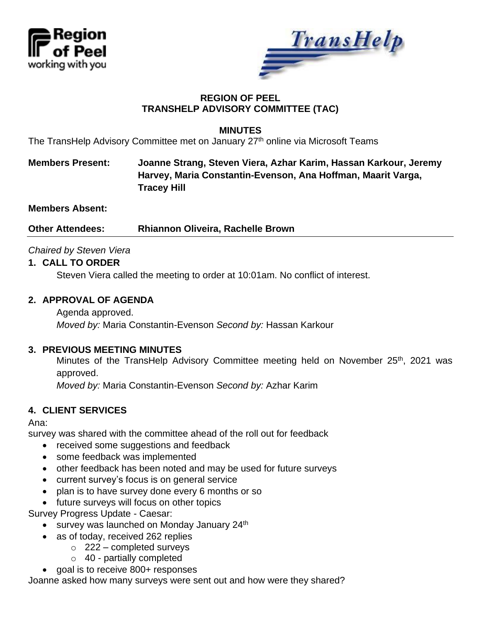



## **REGION OF PEEL TRANSHELP ADVISORY COMMITTEE (TAC)**

### **MINUTES**

The TransHelp Advisory Committee met on January 27<sup>th</sup> online via Microsoft Teams

# **Members Present: Joanne Strang, Steven Viera, Azhar Karim, Hassan Karkour, Jeremy Harvey, Maria Constantin-Evenson, Ana Hoffman, Maarit Varga, Tracey Hill**

**Members Absent:**

**Other Attendees: Rhiannon Oliveira, Rachelle Brown**

## *Chaired by Steven Viera*

### **1. CALL TO ORDER**

Steven Viera called the meeting to order at 10:01am. No conflict of interest.

### **2. APPROVAL OF AGENDA**

Agenda approved. *Moved by:* Maria Constantin-Evenson *Second by:* Hassan Karkour

#### **3. PREVIOUS MEETING MINUTES**

Minutes of the TransHelp Advisory Committee meeting held on November 25<sup>th</sup>, 2021 was approved.

*Moved by:* Maria Constantin-Evenson *Second by:* Azhar Karim

### **4. CLIENT SERVICES**

Ana:

survey was shared with the committee ahead of the roll out for feedback

- received some suggestions and feedback
- some feedback was implemented
- other feedback has been noted and may be used for future surveys
- current survey's focus is on general service
- plan is to have survey done every 6 months or so
- future surveys will focus on other topics

Survey Progress Update - Caesar:

- survey was launched on Monday January 24<sup>th</sup>
- as of today, received 262 replies
	- $\circ$  222 completed surveys
	- $\circ$  40 partially completed
- goal is to receive 800+ responses

Joanne asked how many surveys were sent out and how were they shared?